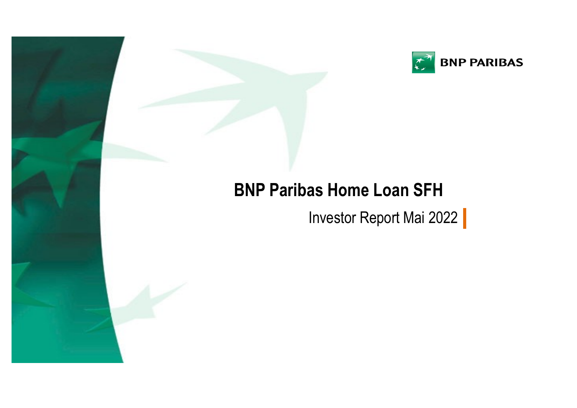

# **BNP Paribas Home Loan SFH**

1790000000

Investor Report Mai 2022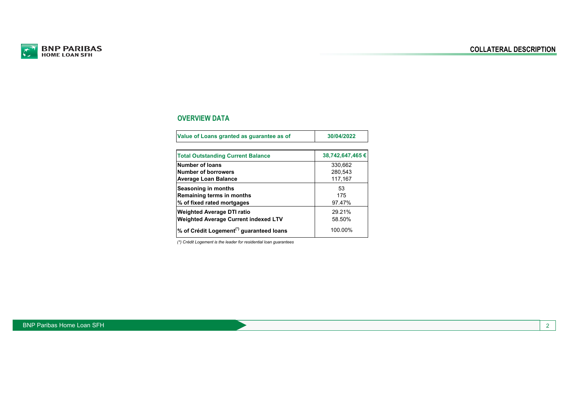

## **OVERVIEW DATA**

| Value of Loans granted as guarantee as of            | 30/04/2022       |
|------------------------------------------------------|------------------|
|                                                      |                  |
| <b>Total Outstanding Current Balance</b>             | 38,742,647,465 € |
| <b>Number of loans</b>                               | 330.662          |
| Number of borrowers                                  | 280.543          |
| <b>Average Loan Balance</b>                          | 117,167          |
| Seasoning in months                                  | 53               |
| Remaining terms in months                            | 175              |
| % of fixed rated mortgages                           | 97.47%           |
| <b>Weighted Average DTI ratio</b>                    | 29.21%           |
| <b>Weighted Average Current indexed LTV</b>          | 58.50%           |
| % of Crédit Logement <sup>(*)</sup> guaranteed loans | 100.00%          |

*(\*) Crédit Logement is the leader for residential loan guarantees*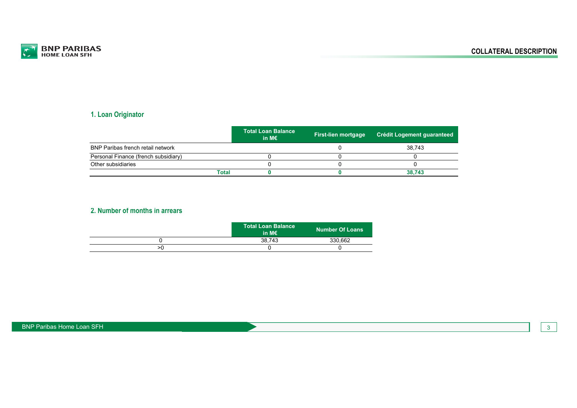

## **1. Loan Originator**

|                                          |       | <b>Total Loan Balance</b> ا<br>in M $\epsilon$ | <b>First-lien mortgage</b> | <b>Crédit Logement guaranteed</b> |
|------------------------------------------|-------|------------------------------------------------|----------------------------|-----------------------------------|
| <b>BNP Paribas french retail network</b> |       |                                                |                            | 38.743                            |
| Personal Finance (french subsidiary)     |       |                                                |                            |                                   |
| Other subsidiaries                       |       |                                                |                            |                                   |
|                                          | Total |                                                |                            | 38.743                            |

#### **2. Number of months in arrears**

|    | Total Loan Balance<br>in M $\epsilon$ | <b>Number Of Loans</b> |
|----|---------------------------------------|------------------------|
|    | 38.743                                | 330,662                |
| >0 |                                       |                        |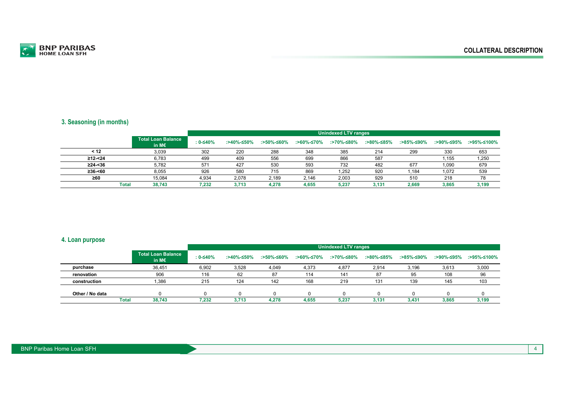

#### **3. Seasoning (in months)**

|               |                                    |            | <b>Unindexed LTV ranges</b> |            |            |            |            |            |            |             |  |  |
|---------------|------------------------------------|------------|-----------------------------|------------|------------|------------|------------|------------|------------|-------------|--|--|
|               | <b>Total Loan Balance</b><br>in M€ | $: 0-≤40%$ | :>40%-≤50%                  | :>50%-≤60% | :>60%-≤70% | :>70%-≤80% | :>80%-≤85% | :>85%-≤90% | :>90%-≤95% | :>95%-≤100% |  |  |
| < 12          | 3,039                              | 302        | 220                         | 288        | 348        | 385        | 214        | 299        | 330        | 653         |  |  |
| $\geq$ 12-<24 | 6,783                              | 499        | 409                         | 556        | 699        | 866        | 587        |            | 1,155      | 1,250       |  |  |
| $\geq$ 24-<36 | 5.782                              | 571        | 427                         | 530        | 593        | 732        | 482        | 677        | 1,090      | 679         |  |  |
| $\geq$ 36-<60 | 8,055                              | 926        | 580                         | 715        | 869        | 1,252      | 920        | l.184      | 1,072      | 539         |  |  |
| $\geq 60$     | 15.084                             | 4,934      | 2,078                       | 2,189      | 2,146      | 2,003      | 929        | 510        | 218        | 78          |  |  |
| Total         | 38.743                             | 7.232      | 3.713                       | 4,278      | 4.655      | 5.237      | 3.131      | 2.669      | 3.865      | 3,199       |  |  |

#### **4. Loan purpose**

|                 |              |                                              |          |            |            |            | <b>Unindexed LTV ranges</b> |            |            |       |                        |
|-----------------|--------------|----------------------------------------------|----------|------------|------------|------------|-----------------------------|------------|------------|-------|------------------------|
|                 |              | <b>Total Loan Balance</b><br>in M $\epsilon$ | : 0-≤40% | :>40%-≤50% | :>50%-≤60% | :>60%-≤70% | :>70%-≤80%                  | :>80%-≤85% | :>85%-≤90% |       | :>90%-≤95% :>95%-≤100% |
| purchase        |              | 36,451                                       | 6,902    | 3,528      | 4,049      | 4,373      | 4,877                       | 2,914      | 3,196      | 3,613 | 3,000                  |
| renovation      |              | 906                                          | 116      | 62         | 87         | 114        | 141                         | 87         | 95         | 108   | 96                     |
| construction    |              | .386                                         | 215      | 124        | 142        | 168        | 219                         | 131        | 139        | 145   | 103                    |
|                 |              |                                              |          |            |            |            |                             |            |            |       |                        |
| Other / No data |              |                                              |          |            |            |            |                             |            |            |       | $\Omega$               |
|                 | <b>Total</b> | 38.743                                       | 7.232    | 3.713      | 4.278      | 4.655      | 5,237                       | 3.131      | 3.431      | 3.865 | 3.199                  |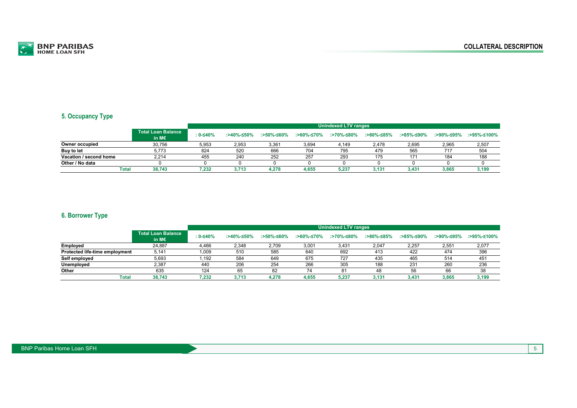

#### **5. Occupancy Type**

|                        |              |                                    |          | Unindexed LTV ranges |            |            |            |            |            |            |             |  |  |
|------------------------|--------------|------------------------------------|----------|----------------------|------------|------------|------------|------------|------------|------------|-------------|--|--|
|                        |              | <b>Total Loan Balance</b><br>in M€ | : 0-≤40% | :>40%-≤50%           | :>50%-≤60% | :>60%-≤70% | :>70%-≤80% | :>80%-≤85% | :>85%-≤90% | :>90%-≤95% | :>95%-≤100% |  |  |
| Owner occupied         |              | 30.756                             | 5,953    | 2,953                | 3,361      | 3,694      | 4,149      | 2,478      | 2,695      | 2,965      | 2,507       |  |  |
| Buy to let             |              | 5.773                              | 824      | 520                  | 666        | 704        | 795        | 479        | 565        | 717        | 504         |  |  |
| Vacation / second home |              | 2.214                              | 455      | 240                  | 252        | 257        | 293        | 175        | 171        | 184        | 188         |  |  |
| Other / No data        |              |                                    |          |                      |            |            |            |            |            |            |             |  |  |
|                        | <b>Total</b> | 38.743                             | 7,232    | 3.713                | 4.278      | 4.655      | 5,237      | 3,131      | 3,431      | 3,865      | 3,199       |  |  |

#### **6. Borrower Type**

|                                       |                                              |              | <b>Unindexed LTV ranges</b> |            |            |            |            |            |            |             |  |  |
|---------------------------------------|----------------------------------------------|--------------|-----------------------------|------------|------------|------------|------------|------------|------------|-------------|--|--|
|                                       | <b>Total Loan Balance</b><br>in M $\epsilon$ | $: 0 - 540%$ | :>40%-≤50%                  | :>50%-≤60% | :>60%-≤70% | :>70%-≤80% | :>80%-≤85% | :>85%-≤90% | :>90%-≤95% | :>95%-≤100% |  |  |
| Employed                              | 24.887                                       | 4,466        | 2,348                       | 2,709      | 3,001      | 3,431      | 2,047      | 2,257      | 2,551      | 2,077       |  |  |
| <b>Protected life-time employment</b> | 5,141                                        | 1.009        | 510                         | 585        | 640        | 692        | 413        | 422        | 474        | 396         |  |  |
| Self employed                         | 5,693                                        | 1,192        | 584                         | 649        | 675        | 727        | 435        | 465        | 514        | 451         |  |  |
| Unemployed                            | 2,387                                        | 440          | 206                         | 254        | 266        | 305        | 188        | 231        | 260        | 236         |  |  |
| Other                                 | 635                                          | 124          | 65                          | 82         | 74         | 81         | 48         | 56         | 66         | 38          |  |  |
| <b>Total</b>                          | 38.743                                       | 7.232        | 3.713                       | 4.278      | 4.655      | 5,237      | 3,131      | 3,431      | 3.865      | 3,199       |  |  |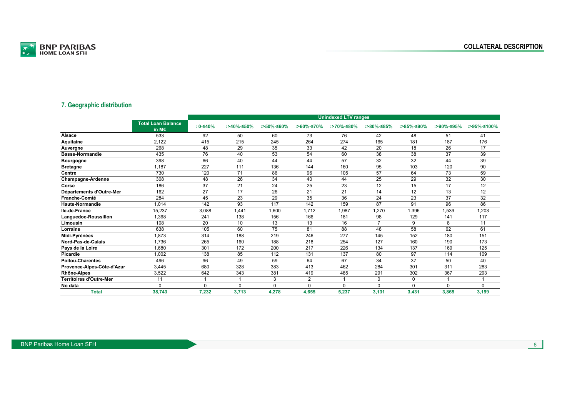

#### **7. Geographic distribution**

|                                |                                    |              |            |            |                | <b>Unindexed LTV ranges</b> |            |            |            |             |
|--------------------------------|------------------------------------|--------------|------------|------------|----------------|-----------------------------|------------|------------|------------|-------------|
|                                | <b>Total Loan Balance</b><br>in M€ | $: 0 - 540%$ | :>40%-≤50% | :>50%-≤60% | :>60%-≤70%     | :>70%-≤80%                  | :>80%-≤85% | :>85%-≤90% | :>90%-≤95% | :>95%-≤100% |
| Alsace                         | 533                                | 92           | 50         | 60         | 73             | 76                          | 42         | 48         | 51         | 41          |
| <b>Aquitaine</b>               | 2,122                              | 415          | 215        | 245        | 264            | 274                         | 165        | 181        | 187        | 176         |
| Auvergne                       | 268                                | 48           | 29         | 35         | 33             | 42                          | 20         | 18         | 26         | 17          |
| <b>Basse-Normandie</b>         | 435                                | 76           | 40         | 53         | 54             | 60                          | 38         | 38         | 37         | 39          |
| <b>Bourgogne</b>               | 398                                | 66           | 40         | 44         | 44             | 57                          | 32         | 32         | 44         | 39          |
| <b>Bretagne</b>                | 1,187                              | 227          | 111        | 136        | 144            | 160                         | 95         | 103        | 120        | 90          |
| Centre                         | 730                                | 120          | 71         | 86         | 96             | 105                         | 57         | 64         | 73         | 59          |
| Champagne-Ardenne              | 308                                | 48           | 26         | 34         | 40             | 44                          | 25         | 29         | 32         | 30          |
| Corse                          | 186                                | 37           | 21         | 24         | 25             | 23                          | 12         | 15         | 17         | 12          |
| Départements d'Outre-Mer       | 162                                | 27           | 17         | 26         | 21             | 21                          | 14         | 12         | 13         | 12          |
| Franche-Comté                  | 284                                | 45           | 23         | 29         | 35             | 36                          | 24         | 23         | 37         | 32          |
| Haute-Normandie                | 1,014                              | 142          | 93         | 117        | 142            | 159                         | 87         | 91         | 96         | 86          |
| lle-de-France                  | 15,237                             | 3,088        | 1,441      | 1,600      | 1,712          | 1,987                       | 1,270      | 1,396      | 1,539      | 1,203       |
| Languedoc-Roussillon           | 1,368                              | 241          | 138        | 156        | 166            | 181                         | 98         | 129        | 141        | 117         |
| Limousin                       | 108                                | 20           | 10         | 13         | 13             | 16                          |            | 9          | 8          | 11          |
| Lorraine                       | 638                                | 105          | 60         | 75         | 81             | 88                          | 48         | 58         | 62         | 61          |
| Midi-Pyrénées                  | 1,873                              | 314          | 188        | 219        | 246            | 277                         | 145        | 152        | 180        | 151         |
| Nord-Pas-de-Calais             | 1,736                              | 265          | 160        | 188        | 218            | 254                         | 127        | 160        | 190        | 173         |
| Pays de la Loire               | 1.680                              | 301          | 172        | 200        | 217            | 226                         | 134        | 137        | 169        | 125         |
| Picardie                       | 1,002                              | 138          | 85         | 112        | 131            | 137                         | 80         | 97         | 114        | 109         |
| <b>Poitou-Charentes</b>        | 496                                | 96           | 49         | 59         | 64             | 67                          | 34         | 37         | 50         | 40          |
| Provence-Alpes-Côte-d'Azur     | 3,445                              | 680          | 328        | 383        | 413            | 462                         | 284        | 301        | 311        | 283         |
| Rhône-Alpes                    | 3,522                              | 642          | 343        | 381        | 419            | 485                         | 291        | 302        | 367        | 293         |
| <b>Territoires d'Outre-Mer</b> | 11                                 |              |            | 3          | $\overline{2}$ |                             | 0          | $\Omega$   |            |             |
| No data                        | $\Omega$                           | $\Omega$     | $\Omega$   | $\Omega$   | $\Omega$       | $\Omega$                    | $\Omega$   | $\Omega$   | $\Omega$   | $\Omega$    |
| <b>Total</b>                   | 38,743                             | 7,232        | 3,713      | 4,278      | 4,655          | 5,237                       | 3.131      | 3,431      | 3,865      | 3,199       |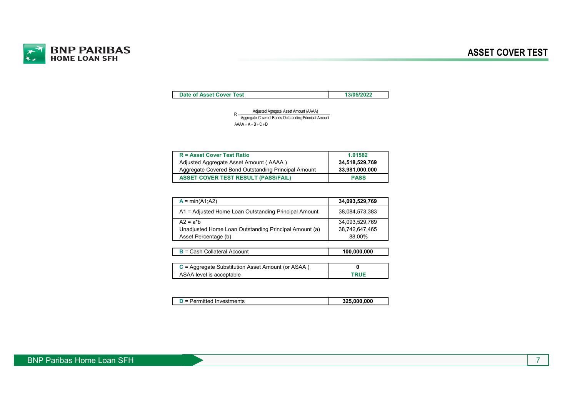

**Date of Asset Cover Test 13/05/2022**

 $AAAA = A + B + C + D$ R = <u>Adjusted Agregate Asset Amount</u> (AAAA)<br>Aggregate Covered Bonds Outstanding Principal Amount

| <b>R</b> = Asset Cover Test Ratio                   | 1.01582        |
|-----------------------------------------------------|----------------|
| Adjusted Aggregate Asset Amount (AAAA)              | 34,518,529,769 |
| Aggregate Covered Bond Outstanding Principal Amount | 33,981,000,000 |
| <b>ASSET COVER TEST RESULT (PASS/FAIL)</b>          | <b>PASS</b>    |

| $A = min(A1; A2)$                                     | 34,093,529,769 |
|-------------------------------------------------------|----------------|
| A1 = Adjusted Home Loan Outstanding Principal Amount  | 38,084,573,383 |
| $A2 = a^*b$                                           | 34,093,529,769 |
| Unadjusted Home Loan Outstanding Principal Amount (a) | 38,742,647,465 |
| Asset Percentage (b)                                  | 88.00%         |
|                                                       |                |

| $B =$ Cash Collateral Account                       | 100,000,000 |
|-----------------------------------------------------|-------------|
|                                                     |             |
| $C =$ Aggregate Substitution Asset Amount (or ASAA) |             |
| ASAA level is acceptable                            | <b>TRUE</b> |

| $D =$ Permitted Investments | 325.000.000 |
|-----------------------------|-------------|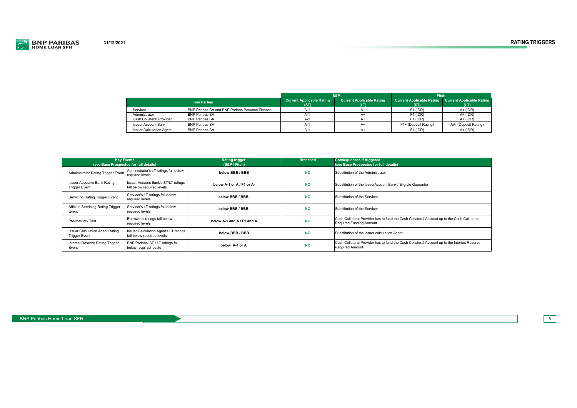

|                                 | S&P                                             |                                          | <b>Fitch</b>                             |                                          |                                          |
|---------------------------------|-------------------------------------------------|------------------------------------------|------------------------------------------|------------------------------------------|------------------------------------------|
| <b>Key Parties</b>              |                                                 | <b>Current Applicable Rating</b><br>(ST) | <b>Current Applicable Rating</b><br>(LT) | <b>Current Applicable Rating</b><br>(ST) | <b>Current Applicable Rating</b><br>(LT) |
| Servicer                        | BNP Paribas SA and BNP Paribas Personal Finance | А-                                       | A+                                       | $F1$ (IDR)                               | $A+ (IDR)$                               |
| Administrator                   | <b>BNP Paribas SA</b>                           | А-                                       | $A+$                                     | $F1$ (IDR)                               | $A+ (IDR)$                               |
| Cash Collateral Provider        | <b>BNP Paribas SA</b>                           |                                          | A+                                       | $F1$ (IDR)                               | $A+ (IDR)$                               |
| <b>Issuer Account Bank</b>      | <b>BNP Paribas SA</b>                           | А-                                       | $A+$                                     | F1+ (Deposit Rating)                     | AA- (Deposit Rating)                     |
| <b>Issuer Calculation Agent</b> | <b>BNP Paribas SA</b>                           | А-                                       | A+                                       | $F1$ (IDR)                               | $A+ (IDR)$                               |

| <b>Kev Events</b><br>(see Base Prospectus for full details)    |                                                                     | <b>Rating trigger</b><br>(S&P / Fitch) | <b>Breached</b> | <b>Consequences if triggered</b><br>(see Base Prospectus for full details)                                                   |
|----------------------------------------------------------------|---------------------------------------------------------------------|----------------------------------------|-----------------|------------------------------------------------------------------------------------------------------------------------------|
| Administrator Rating Trigger Event                             | Administrator's LT ratings fall below<br>required levels            | below BBB / BBB                        | <b>NO</b>       | Substitution of the Administrator                                                                                            |
| <b>Issuer Accounts Bank Rating</b><br><b>Trigger Event</b>     | Issuer Account Bank's ST/LT ratings<br>fall below required levels   | below A-1 or A / F1 or A-              | <b>NO</b>       | Substitution of the IssuerAccount Bank / Eligible Guarantor                                                                  |
| Servicing Rating Trigger Event                                 | Servicer's LT ratings fall below<br>required levels                 | below BBB / BBB-                       | <b>NO</b>       | Substitution of the Servicer                                                                                                 |
| Affiliate Servicing Rating Trigger<br>Event                    | Servicer's LT ratings fall below<br>required levels                 | below BBB / BBB-                       | <b>NO</b>       | Substitution of the Servicer                                                                                                 |
| Pre-Maturity Test                                              | Borrower's ratings fall below<br>required levels                    | below A-1 and A / F1 and A             | <b>NO</b>       | Cash Collateral Provider has to fund the Cash Collateral Account up to the Cash Collateral<br><b>Required Funding Amount</b> |
| <b>Issuer Calculation Agent Rating</b><br><b>Trigger Event</b> | Issuer Calculation Agent's LT ratings<br>fall below required levels | below BBB / BBB                        | <b>NO</b>       | Substitution of the issuer calculation Agent                                                                                 |
| Interest Reserve Rating Trigger<br>Event                       | BNP Paribas' ST / LT ratings fall<br>below required levels          | below A-1 or A                         | <b>NO</b>       | Cash Collateral Provider has to fund the Cash Collateral Account up to the Interest Reserve<br><b>Required Amount</b>        |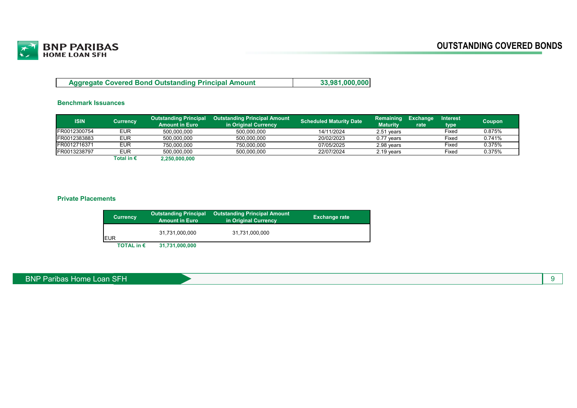

| <b>Aggregate Covered Bond Outstanding Principal Amount</b> | 33,981,000,000 |
|------------------------------------------------------------|----------------|
|------------------------------------------------------------|----------------|

#### **Benchmark Issuances**

| <b>ISIN</b>  |            | <b>Outstanding Principal</b> | <b>Outstanding Principal Amount</b> | <b>Scheduled Maturity Date</b> | <b>Remaining</b> | Exchange | <b>Interest</b> | Coupon |
|--------------|------------|------------------------------|-------------------------------------|--------------------------------|------------------|----------|-----------------|--------|
|              | Currency   | <b>Amount in Euro</b>        | in Original Currency                |                                | Maturitv         | rate     | type            |        |
| FR0012300754 | EUR        | 500.000.000                  | 500.000.000                         | 14/11/2024                     | 2.51 vears       |          | Fixed           | 0.875% |
| FR0012383883 | EUR        | 500.000.000                  | 500.000.000                         | 20/02/2023                     | $0.77$ years     |          | Fixed           | 0.741% |
| FR0012716371 | EUR        | 750.000.000                  | 750.000.000                         | 07/05/2025                     | 2.98 vears       |          | Fixed           | 0.375% |
| FR0013238797 | EUR        | 500.000.000                  | 500.000.000                         | 22/07/2024                     | 2.19 years       |          | Fixed           | 0.375% |
|              | Total in € | 2,250,000,000                |                                     |                                |                  |          |                 |        |

#### **Private Placements**

| <b>Currency</b>     | <b>Outstanding Principal</b><br><b>Amount in Euro</b> | Outstanding Principal Amount<br>in Original Currency | <b>Exchange rate</b> |
|---------------------|-------------------------------------------------------|------------------------------------------------------|----------------------|
| <b>EUR</b>          | 31,731,000,000                                        | 31,731,000,000                                       |                      |
| TOTAL in $\epsilon$ | 31,731,000,000                                        |                                                      |                      |

#### BNP Paribas Home Loan SFH 9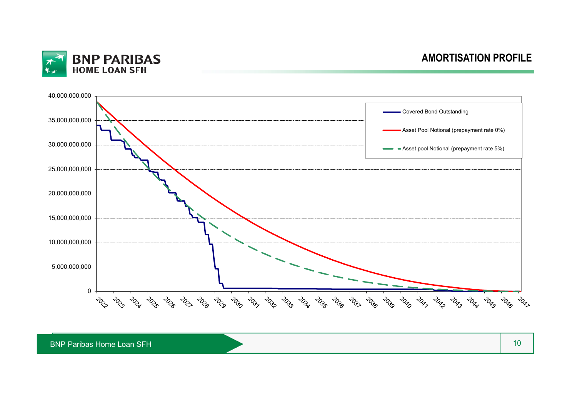